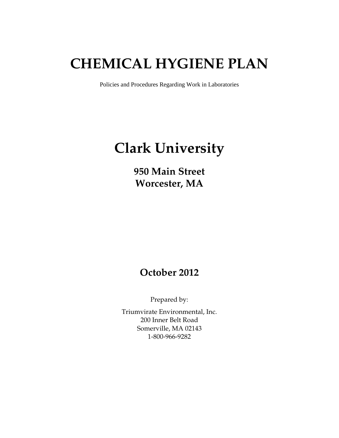# **CHEMICAL HYGIENE PLAN**

Policies and Procedures Regarding Work in Laboratories

# **Clark University**

**950 Main Street Worcester, MA** 

# **October 2012**

Prepared by:

Triumvirate Environmental, Inc. 200 Inner Belt Road Somerville, MA 02143 1-800-966-9282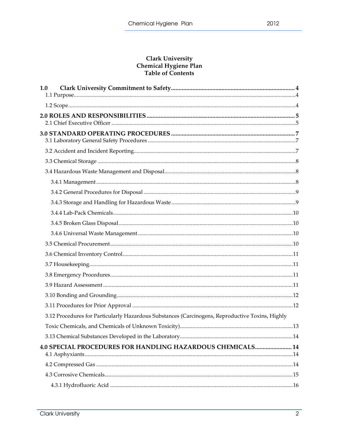#### **Clark University** Chemical Hygiene Plan Table of Contents

| 1.0                                                                                             |  |
|-------------------------------------------------------------------------------------------------|--|
|                                                                                                 |  |
|                                                                                                 |  |
|                                                                                                 |  |
|                                                                                                 |  |
|                                                                                                 |  |
|                                                                                                 |  |
|                                                                                                 |  |
|                                                                                                 |  |
|                                                                                                 |  |
|                                                                                                 |  |
|                                                                                                 |  |
|                                                                                                 |  |
|                                                                                                 |  |
|                                                                                                 |  |
|                                                                                                 |  |
|                                                                                                 |  |
|                                                                                                 |  |
|                                                                                                 |  |
|                                                                                                 |  |
|                                                                                                 |  |
| 3.12 Procedures for Particularly Hazardous Substances (Carcinogens, Reproductive Toxins, Highly |  |
|                                                                                                 |  |
|                                                                                                 |  |
| 4.0 SPECIAL PROCEDURES FOR HANDLING HAZARDOUS CHEMICALS 14                                      |  |
|                                                                                                 |  |
|                                                                                                 |  |
|                                                                                                 |  |
|                                                                                                 |  |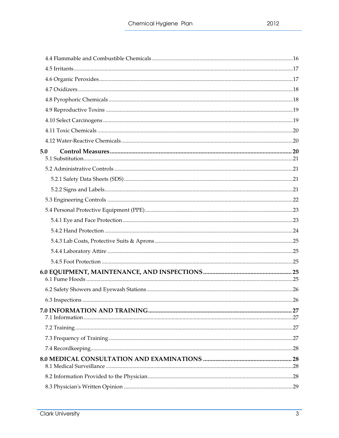| 5.0 |  |
|-----|--|
|     |  |
|     |  |
|     |  |
|     |  |
|     |  |
|     |  |
|     |  |
|     |  |
|     |  |
|     |  |
|     |  |
|     |  |
|     |  |
|     |  |
|     |  |
|     |  |
|     |  |
|     |  |
|     |  |
|     |  |

 $\overline{3}$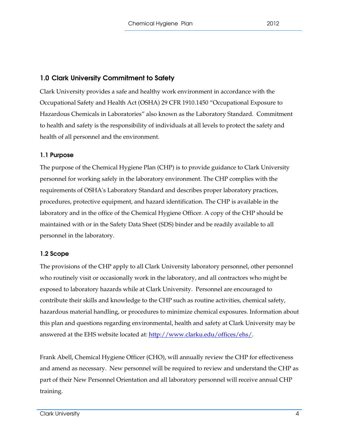# 1.0 Clark University Commitment to Safety

Clark University provides a safe and healthy work environment in accordance with the Occupational Safety and Health Act (OSHA) 29 CFR 1910.1450 "Occupational Exposure to Hazardous Chemicals in Laboratories" also known as the Laboratory Standard. Commitment to health and safety is the responsibility of individuals at all levels to protect the safety and health of all personnel and the environment.

# 1.1 Purpose

The purpose of the Chemical Hygiene Plan (CHP) is to provide guidance to Clark University personnel for working safely in the laboratory environment. The CHP complies with the requirements of OSHA's Laboratory Standard and describes proper laboratory practices, procedures, protective equipment, and hazard identification. The CHP is available in the laboratory and in the office of the Chemical Hygiene Officer. A copy of the CHP should be maintained with or in the Safety Data Sheet (SDS) binder and be readily available to all personnel in the laboratory.

# 1.2 Scope

The provisions of the CHP apply to all Clark University laboratory personnel, other personnel who routinely visit or occasionally work in the laboratory, and all contractors who might be exposed to laboratory hazards while at Clark University. Personnel are encouraged to contribute their skills and knowledge to the CHP such as routine activities, chemical safety, hazardous material handling, or procedures to minimize chemical exposures. Information about this plan and questions regarding environmental, health and safety at Clark University may be answered at the EHS website located at: http://www.clarku.edu/offices/ehs/.

Frank Abell, Chemical Hygiene Officer (CHO), will annually review the CHP for effectiveness and amend as necessary. New personnel will be required to review and understand the CHP as part of their New Personnel Orientation and all laboratory personnel will receive annual CHP training.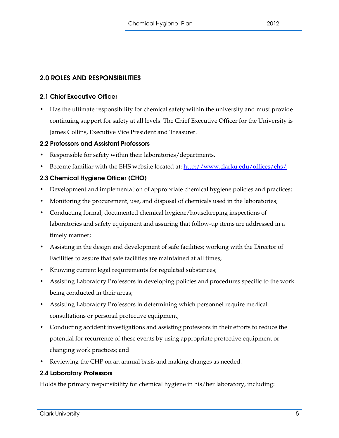# 2.0 ROLES AND RESPONSIBILITIES

# 2.1 Chief Executive Officer

• Has the ultimate responsibility for chemical safety within the university and must provide continuing support for safety at all levels. The Chief Executive Officer for the University is James Collins, Executive Vice President and Treasurer.

# 2.2 Professors and Assistant Professors

- Responsible for safety within their laboratories/departments.
- Become familiar with the EHS website located at: http://www.clarku.edu/offices/ehs/

# 2.3 Chemical Hygiene Officer (CHO)

- Development and implementation of appropriate chemical hygiene policies and practices;
- Monitoring the procurement, use, and disposal of chemicals used in the laboratories;
- Conducting formal, documented chemical hygiene/housekeeping inspections of laboratories and safety equipment and assuring that follow-up items are addressed in a timely manner;
- Assisting in the design and development of safe facilities; working with the Director of Facilities to assure that safe facilities are maintained at all times;
- Knowing current legal requirements for regulated substances;
- Assisting Laboratory Professors in developing policies and procedures specific to the work being conducted in their areas;
- Assisting Laboratory Professors in determining which personnel require medical consultations or personal protective equipment;
- Conducting accident investigations and assisting professors in their efforts to reduce the potential for recurrence of these events by using appropriate protective equipment or changing work practices; and
- Reviewing the CHP on an annual basis and making changes as needed.

# 2.4 Laboratory Professors

Holds the primary responsibility for chemical hygiene in his/her laboratory, including: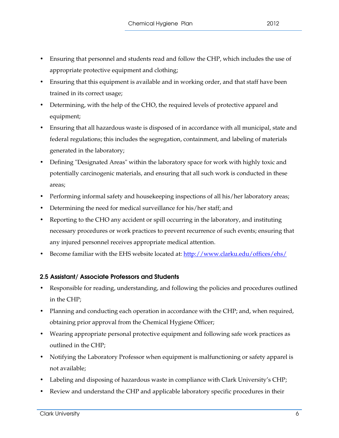- Ensuring that personnel and students read and follow the CHP, which includes the use of appropriate protective equipment and clothing;
- Ensuring that this equipment is available and in working order, and that staff have been trained in its correct usage;
- Determining, with the help of the CHO, the required levels of protective apparel and equipment;
- Ensuring that all hazardous waste is disposed of in accordance with all municipal, state and federal regulations; this includes the segregation, containment, and labeling of materials generated in the laboratory;
- Defining "Designated Areas" within the laboratory space for work with highly toxic and potentially carcinogenic materials, and ensuring that all such work is conducted in these areas;
- Performing informal safety and housekeeping inspections of all his/her laboratory areas;
- Determining the need for medical surveillance for his/her staff; and
- Reporting to the CHO any accident or spill occurring in the laboratory, and instituting necessary procedures or work practices to prevent recurrence of such events; ensuring that any injured personnel receives appropriate medical attention.
- Become familiar with the EHS website located at: http://www.clarku.edu/offices/ehs/

# 2.5 Assistant/ Associate Professors and Students

- Responsible for reading, understanding, and following the policies and procedures outlined in the CHP;
- Planning and conducting each operation in accordance with the CHP; and, when required, obtaining prior approval from the Chemical Hygiene Officer;
- Wearing appropriate personal protective equipment and following safe work practices as outlined in the CHP;
- Notifying the Laboratory Professor when equipment is malfunctioning or safety apparel is not available;
- Labeling and disposing of hazardous waste in compliance with Clark University's CHP;
- Review and understand the CHP and applicable laboratory specific procedures in their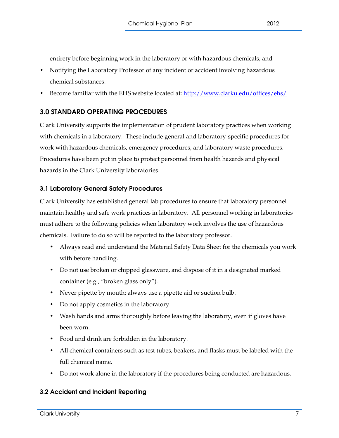entirety before beginning work in the laboratory or with hazardous chemicals; and

- Notifying the Laboratory Professor of any incident or accident involving hazardous chemical substances.
- Become familiar with the EHS website located at: http://www.clarku.edu/offices/ehs/

# 3.0 STANDARD OPERATING PROCEDURES

Clark University supports the implementation of prudent laboratory practices when working with chemicals in a laboratory. These include general and laboratory-specific procedures for work with hazardous chemicals, emergency procedures, and laboratory waste procedures. Procedures have been put in place to protect personnel from health hazards and physical hazards in the Clark University laboratories.

# 3.1 Laboratory General Safety Procedures

Clark University has established general lab procedures to ensure that laboratory personnel maintain healthy and safe work practices in laboratory. All personnel working in laboratories must adhere to the following policies when laboratory work involves the use of hazardous chemicals. Failure to do so will be reported to the laboratory professor.

- Always read and understand the Material Safety Data Sheet for the chemicals you work with before handling.
- Do not use broken or chipped glassware, and dispose of it in a designated marked container (e.g., "broken glass only").
- Never pipette by mouth; always use a pipette aid or suction bulb.
- Do not apply cosmetics in the laboratory.
- Wash hands and arms thoroughly before leaving the laboratory, even if gloves have been worn.
- Food and drink are forbidden in the laboratory.
- All chemical containers such as test tubes, beakers, and flasks must be labeled with the full chemical name.
- Do not work alone in the laboratory if the procedures being conducted are hazardous.

# 3.2 Accident and Incident Reporting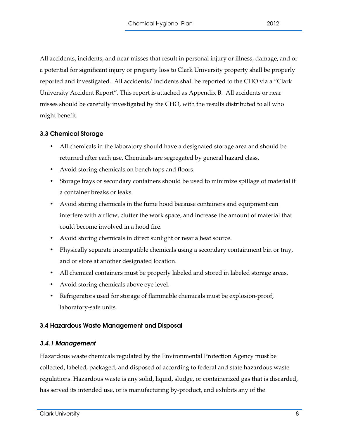All accidents, incidents, and near misses that result in personal injury or illness, damage, and or a potential for significant injury or property loss to Clark University property shall be properly reported and investigated. All accidents/ incidents shall be reported to the CHO via a "Clark University Accident Report". This report is attached as Appendix B. All accidents or near misses should be carefully investigated by the CHO, with the results distributed to all who might benefit.

# 3.3 Chemical Storage

- All chemicals in the laboratory should have a designated storage area and should be returned after each use. Chemicals are segregated by general hazard class.
- Avoid storing chemicals on bench tops and floors.
- Storage trays or secondary containers should be used to minimize spillage of material if a container breaks or leaks.
- Avoid storing chemicals in the fume hood because containers and equipment can interfere with airflow, clutter the work space, and increase the amount of material that could become involved in a hood fire.
- Avoid storing chemicals in direct sunlight or near a heat source.
- Physically separate incompatible chemicals using a secondary containment bin or tray, and or store at another designated location.
- All chemical containers must be properly labeled and stored in labeled storage areas.
- Avoid storing chemicals above eye level.
- Refrigerators used for storage of flammable chemicals must be explosion-proof, laboratory-safe units.

# 3.4 Hazardous Waste Management and Disposal

# 3.4.1 Management

Hazardous waste chemicals regulated by the Environmental Protection Agency must be collected, labeled, packaged, and disposed of according to federal and state hazardous waste regulations. Hazardous waste is any solid, liquid, sludge, or containerized gas that is discarded, has served its intended use, or is manufacturing by-product, and exhibits any of the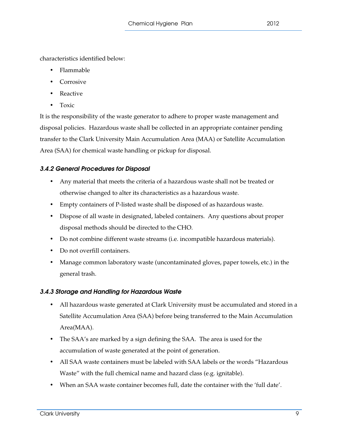characteristics identified below:

- Flammable
- Corrosive
- Reactive
- Toxic

It is the responsibility of the waste generator to adhere to proper waste management and disposal policies. Hazardous waste shall be collected in an appropriate container pending transfer to the Clark University Main Accumulation Area (MAA) or Satellite Accumulation Area (SAA) for chemical waste handling or pickup for disposal.

# 3.4.2 General Procedures for Disposal

- Any material that meets the criteria of a hazardous waste shall not be treated or otherwise changed to alter its characteristics as a hazardous waste.
- Empty containers of P-listed waste shall be disposed of as hazardous waste.
- Dispose of all waste in designated, labeled containers. Any questions about proper disposal methods should be directed to the CHO.
- Do not combine different waste streams (i.e. incompatible hazardous materials).
- Do not overfill containers.
- Manage common laboratory waste (uncontaminated gloves, paper towels, etc.) in the general trash.

# 3.4.3 Storage and Handling for Hazardous Waste

- All hazardous waste generated at Clark University must be accumulated and stored in a Satellite Accumulation Area (SAA) before being transferred to the Main Accumulation Area(MAA).
- The SAA's are marked by a sign defining the SAA. The area is used for the accumulation of waste generated at the point of generation.
- All SAA waste containers must be labeled with SAA labels or the words "Hazardous Waste" with the full chemical name and hazard class (e.g. ignitable).
- When an SAA waste container becomes full, date the container with the 'full date'.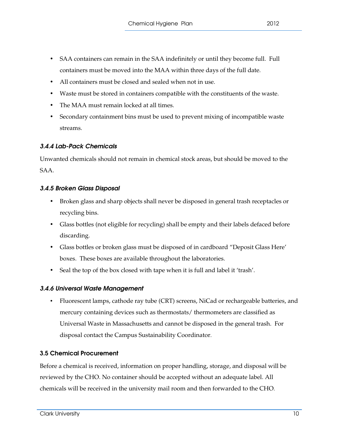- SAA containers can remain in the SAA indefinitely or until they become full. Full containers must be moved into the MAA within three days of the full date.
- All containers must be closed and sealed when not in use.
- Waste must be stored in containers compatible with the constituents of the waste.
- The MAA must remain locked at all times.
- Secondary containment bins must be used to prevent mixing of incompatible waste streams.

# 3.4.4 Lab-Pack Chemicals

Unwanted chemicals should not remain in chemical stock areas, but should be moved to the SAA.

# 3.4.5 Broken Glass Disposal

- Broken glass and sharp objects shall never be disposed in general trash receptacles or recycling bins.
- Glass bottles (not eligible for recycling) shall be empty and their labels defaced before discarding.
- Glass bottles or broken glass must be disposed of in cardboard "Deposit Glass Here' boxes. These boxes are available throughout the laboratories.
- Seal the top of the box closed with tape when it is full and label it 'trash'.

# 3.4.6 Universal Waste Management

• Fluorescent lamps, cathode ray tube (CRT) screens, NiCad or rechargeable batteries, and mercury containing devices such as thermostats/ thermometers are classified as Universal Waste in Massachusetts and cannot be disposed in the general trash. For disposal contact the Campus Sustainability Coordinator.

# 3.5 Chemical Procurement

Before a chemical is received, information on proper handling, storage, and disposal will be reviewed by the CHO. No container should be accepted without an adequate label. All chemicals will be received in the university mail room and then forwarded to the CHO.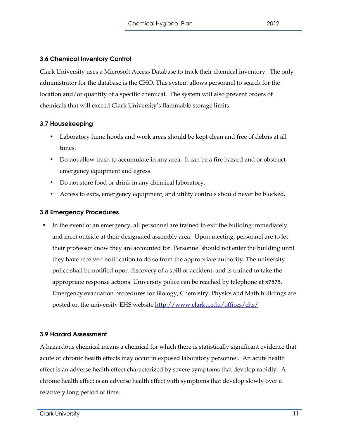# 3.6 Chemical Inventory Control

Clark University uses a Microsoft Access Database to track their chemical inventory. The only administrator for the database is the CHO. This system allows personnel to search for the location and/or quantity of a specific chemical. The system will also prevent orders of chemicals that will exceed Clark University's flammable storage limits.

# 3.7 Housekeeping

- Laboratory fume hoods and work areas should be kept clean and free of debris at all times.
- Do not allow trash to accumulate in any area. It can be a fire hazard and or obstruct emergency equipment and egress.
- Do not store food or drink in any chemical laboratory.
- Access to exits, emergency equipment, and utility controls should never be blocked.

# 3.8 Emergency Procedures

• In the event of an emergency, all personnel are trained to exit the building immediately and meet outside at their designated assembly area. Upon meeting, personnel are to let their professor know they are accounted for. Personnel should not enter the building until they have received notification to do so from the appropriate authority. The university police shall be notified upon discovery of a spill or accident, and is trained to take the appropriate response actions. University police can be reached by telephone at **x7575.**  Emergency evacuation procedures for Biology, Chemistry, Physics and Math buildings are posted on the university EHS website http://www.clarku.edu/offices/ehs/.

# 3.9 Hazard Assessment

A hazardous chemical means a chemical for which there is statistically significant evidence that acute or chronic health effects may occur in exposed laboratory personnel. An acute health effect is an adverse health effect characterized by severe symptoms that develop rapidly. A chronic health effect is an adverse health effect with symptoms that develop slowly over a relatively long period of time.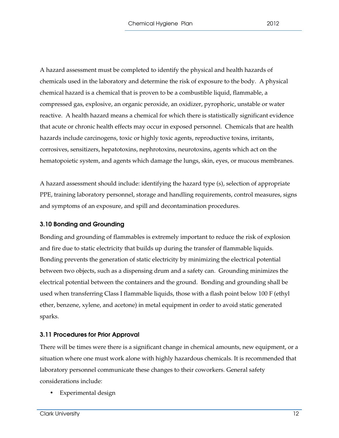A hazard assessment must be completed to identify the physical and health hazards of chemicals used in the laboratory and determine the risk of exposure to the body. A physical chemical hazard is a chemical that is proven to be a combustible liquid, flammable, a compressed gas, explosive, an organic peroxide, an oxidizer, pyrophoric, unstable or water reactive. A health hazard means a chemical for which there is statistically significant evidence that acute or chronic health effects may occur in exposed personnel. Chemicals that are health hazards include carcinogens, toxic or highly toxic agents, reproductive toxins, irritants, corrosives, sensitizers, hepatotoxins, nephrotoxins, neurotoxins, agents which act on the hematopoietic system, and agents which damage the lungs, skin, eyes, or mucous membranes.

A hazard assessment should include: identifying the hazard type (s), selection of appropriate PPE, training laboratory personnel, storage and handling requirements, control measures, signs and symptoms of an exposure, and spill and decontamination procedures.

#### 3.10 Bonding and Grounding

Bonding and grounding of flammables is extremely important to reduce the risk of explosion and fire due to static electricity that builds up during the transfer of flammable liquids. Bonding prevents the generation of static electricity by minimizing the electrical potential between two objects, such as a dispensing drum and a safety can. Grounding minimizes the electrical potential between the containers and the ground. Bonding and grounding shall be used when transferring Class I flammable liquids, those with a flash point below 100 F (ethyl ether, benzene, xylene, and acetone) in metal equipment in order to avoid static generated sparks.

# 3.11 Procedures for Prior Approval

There will be times were there is a significant change in chemical amounts, new equipment, or a situation where one must work alone with highly hazardous chemicals. It is recommended that laboratory personnel communicate these changes to their coworkers. General safety considerations include:

• Experimental design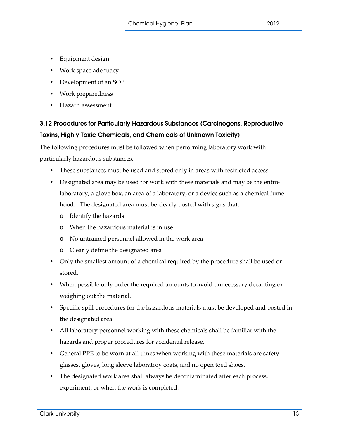- Equipment design
- Work space adequacy
- Development of an SOP
- Work preparedness
- Hazard assessment

# 3.12 Procedures for Particularly Hazardous Substances (Carcinogens, Reproductive Toxins, Highly Toxic Chemicals, and Chemicals of Unknown Toxicity)

The following procedures must be followed when performing laboratory work with particularly hazardous substances.

- These substances must be used and stored only in areas with restricted access.
- Designated area may be used for work with these materials and may be the entire laboratory, a glove box, an area of a laboratory, or a device such as a chemical fume hood. The designated area must be clearly posted with signs that;
	- o Identify the hazards
	- o When the hazardous material is in use
	- o No untrained personnel allowed in the work area
	- o Clearly define the designated area
- Only the smallest amount of a chemical required by the procedure shall be used or stored.
- When possible only order the required amounts to avoid unnecessary decanting or weighing out the material.
- Specific spill procedures for the hazardous materials must be developed and posted in the designated area.
- All laboratory personnel working with these chemicals shall be familiar with the hazards and proper procedures for accidental release.
- General PPE to be worn at all times when working with these materials are safety glasses, gloves, long sleeve laboratory coats, and no open toed shoes.
- The designated work area shall always be decontaminated after each process, experiment, or when the work is completed.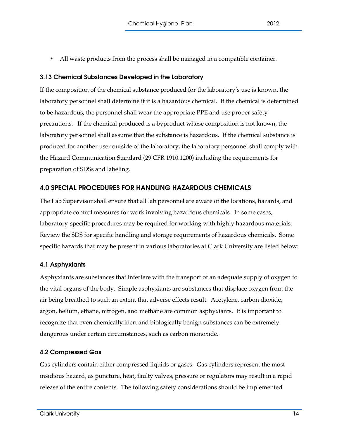• All waste products from the process shall be managed in a compatible container.

# 3.13 Chemical Substances Developed in the Laboratory

If the composition of the chemical substance produced for the laboratory's use is known, the laboratory personnel shall determine if it is a hazardous chemical. If the chemical is determined to be hazardous, the personnel shall wear the appropriate PPE and use proper safety precautions. If the chemical produced is a byproduct whose composition is not known, the laboratory personnel shall assume that the substance is hazardous. If the chemical substance is produced for another user outside of the laboratory, the laboratory personnel shall comply with the Hazard Communication Standard (29 CFR 1910.1200) including the requirements for preparation of SDSs and labeling.

# 4.0 SPECIAL PROCEDURES FOR HANDLING HAZARDOUS CHEMICALS

The Lab Supervisor shall ensure that all lab personnel are aware of the locations, hazards, and appropriate control measures for work involving hazardous chemicals. In some cases, laboratory-specific procedures may be required for working with highly hazardous materials. Review the SDS for specific handling and storage requirements of hazardous chemicals. Some specific hazards that may be present in various laboratories at Clark University are listed below:

# 4.1 Asphyxiants

Asphyxiants are substances that interfere with the transport of an adequate supply of oxygen to the vital organs of the body. Simple asphyxiants are substances that displace oxygen from the air being breathed to such an extent that adverse effects result. Acetylene, carbon dioxide, argon, helium, ethane, nitrogen, and methane are common asphyxiants. It is important to recognize that even chemically inert and biologically benign substances can be extremely dangerous under certain circumstances, such as carbon monoxide.

# 4.2 Compressed Gas

Gas cylinders contain either compressed liquids or gases. Gas cylinders represent the most insidious hazard, as puncture, heat, faulty valves, pressure or regulators may result in a rapid release of the entire contents. The following safety considerations should be implemented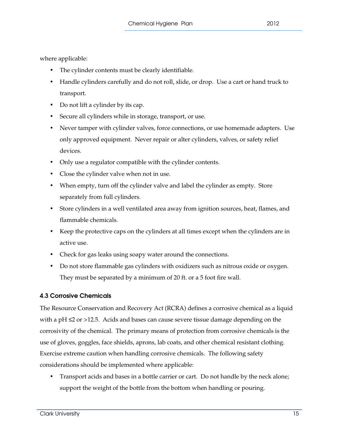where applicable:

- The cylinder contents must be clearly identifiable.
- Handle cylinders carefully and do not roll, slide, or drop. Use a cart or hand truck to transport.
- Do not lift a cylinder by its cap.
- Secure all cylinders while in storage, transport, or use.
- Never tamper with cylinder valves, force connections, or use homemade adapters. Use only approved equipment. Never repair or alter cylinders, valves, or safety relief devices.
- Only use a regulator compatible with the cylinder contents.
- Close the cylinder valve when not in use.
- When empty, turn off the cylinder valve and label the cylinder as empty. Store separately from full cylinders.
- Store cylinders in a well ventilated area away from ignition sources, heat, flames, and flammable chemicals.
- Keep the protective caps on the cylinders at all times except when the cylinders are in active use.
- Check for gas leaks using soapy water around the connections.
- Do not store flammable gas cylinders with oxidizers such as nitrous oxide or oxygen. They must be separated by a minimum of 20 ft. or a 5 foot fire wall.

# 4.3 Corrosive Chemicals

The Resource Conservation and Recovery Act (RCRA) defines a corrosive chemical as a liquid with a pH  $\leq$  2 or >12.5. Acids and bases can cause severe tissue damage depending on the corrosivity of the chemical. The primary means of protection from corrosive chemicals is the use of gloves, goggles, face shields, aprons, lab coats, and other chemical resistant clothing. Exercise extreme caution when handling corrosive chemicals. The following safety considerations should be implemented where applicable:

• Transport acids and bases in a bottle carrier or cart. Do not handle by the neck alone; support the weight of the bottle from the bottom when handling or pouring.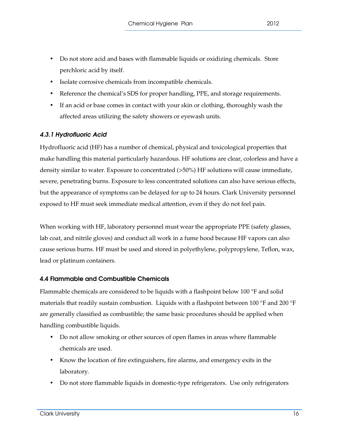- Do not store acid and bases with flammable liquids or oxidizing chemicals. Store perchloric acid by itself.
- Isolate corrosive chemicals from incompatible chemicals.
- Reference the chemical's SDS for proper handling, PPE, and storage requirements.
- If an acid or base comes in contact with your skin or clothing, thoroughly wash the affected areas utilizing the safety showers or eyewash units.

# 4.3.1 Hydrofluoric Acid

Hydrofluoric acid (HF) has a number of chemical, physical and toxicological properties that make handling this material particularly hazardous. HF solutions are clear, colorless and have a density similar to water. Exposure to concentrated (>50%) HF solutions will cause immediate, severe, penetrating burns. Exposure to less concentrated solutions can also have serious effects, but the appearance of symptoms can be delayed for up to 24 hours. Clark University personnel exposed to HF must seek immediate medical attention, even if they do not feel pain.

When working with HF, laboratory personnel must wear the appropriate PPE (safety glasses, lab coat, and nitrile gloves) and conduct all work in a fume hood because HF vapors can also cause serious burns. HF must be used and stored in polyethylene, polypropylene, Teflon, wax, lead or platinum containers.

# 4.4 Flammable and Combustible Chemicals

Flammable chemicals are considered to be liquids with a flashpoint below 100 °F and solid materials that readily sustain combustion. Liquids with a flashpoint between 100 °F and 200 °F are generally classified as combustible; the same basic procedures should be applied when handling combustible liquids.

- Do not allow smoking or other sources of open flames in areas where flammable chemicals are used.
- Know the location of fire extinguishers, fire alarms, and emergency exits in the laboratory.
- Do not store flammable liquids in domestic-type refrigerators. Use only refrigerators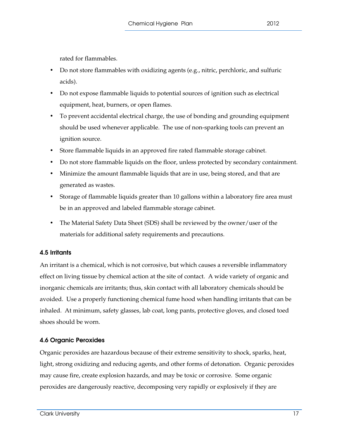rated for flammables.

- Do not store flammables with oxidizing agents (e.g., nitric, perchloric, and sulfuric acids).
- Do not expose flammable liquids to potential sources of ignition such as electrical equipment, heat, burners, or open flames.
- To prevent accidental electrical charge, the use of bonding and grounding equipment should be used whenever applicable. The use of non-sparking tools can prevent an ignition source.
- Store flammable liquids in an approved fire rated flammable storage cabinet.
- Do not store flammable liquids on the floor, unless protected by secondary containment.
- Minimize the amount flammable liquids that are in use, being stored, and that are generated as wastes.
- Storage of flammable liquids greater than 10 gallons within a laboratory fire area must be in an approved and labeled flammable storage cabinet.
- The Material Safety Data Sheet (SDS) shall be reviewed by the owner/user of the materials for additional safety requirements and precautions.

# 4.5 Irritants

An irritant is a chemical, which is not corrosive, but which causes a reversible inflammatory effect on living tissue by chemical action at the site of contact. A wide variety of organic and inorganic chemicals are irritants; thus, skin contact with all laboratory chemicals should be avoided. Use a properly functioning chemical fume hood when handling irritants that can be inhaled. At minimum, safety glasses, lab coat, long pants, protective gloves, and closed toed shoes should be worn.

# 4.6 Organic Peroxides

Organic peroxides are hazardous because of their extreme sensitivity to shock, sparks, heat, light, strong oxidizing and reducing agents, and other forms of detonation. Organic peroxides may cause fire, create explosion hazards, and may be toxic or corrosive. Some organic peroxides are dangerously reactive, decomposing very rapidly or explosively if they are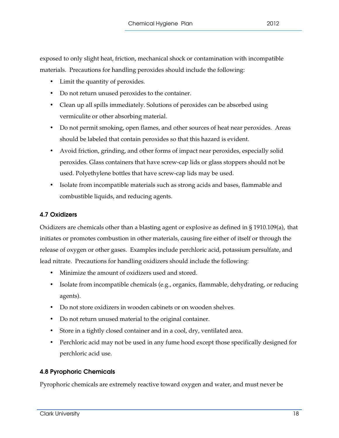exposed to only slight heat, friction, mechanical shock or contamination with incompatible materials. Precautions for handling peroxides should include the following:

- Limit the quantity of peroxides.
- Do not return unused peroxides to the container.
- Clean up all spills immediately. Solutions of peroxides can be absorbed using vermiculite or other absorbing material.
- Do not permit smoking, open flames, and other sources of heat near peroxides. Areas should be labeled that contain peroxides so that this hazard is evident.
- Avoid friction, grinding, and other forms of impact near peroxides, especially solid peroxides. Glass containers that have screw-cap lids or glass stoppers should not be used. Polyethylene bottles that have screw-cap lids may be used.
- Isolate from incompatible materials such as strong acids and bases, flammable and combustible liquids, and reducing agents.

#### 4.7 Oxidizers

Oxidizers are chemicals other than a blasting agent or explosive as defined in § 1910.109(a), that initiates or promotes combustion in other materials, causing fire either of itself or through the release of oxygen or other gases. Examples include perchloric acid, potassium persulfate, and lead nitrate. Precautions for handling oxidizers should include the following:

- Minimize the amount of oxidizers used and stored.
- Isolate from incompatible chemicals (e.g., organics, flammable, dehydrating, or reducing agents).
- Do not store oxidizers in wooden cabinets or on wooden shelves.
- Do not return unused material to the original container.
- Store in a tightly closed container and in a cool, dry, ventilated area.
- Perchloric acid may not be used in any fume hood except those specifically designed for perchloric acid use.

#### 4.8 Pyrophoric Chemicals

Pyrophoric chemicals are extremely reactive toward oxygen and water, and must never be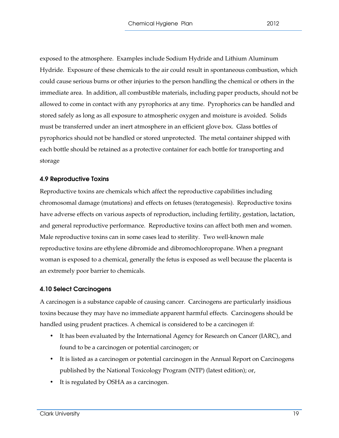exposed to the atmosphere. Examples include Sodium Hydride and Lithium Aluminum Hydride. Exposure of these chemicals to the air could result in spontaneous combustion, which could cause serious burns or other injuries to the person handling the chemical or others in the immediate area. In addition, all combustible materials, including paper products, should not be allowed to come in contact with any pyrophorics at any time. Pyrophorics can be handled and stored safely as long as all exposure to atmospheric oxygen and moisture is avoided. Solids must be transferred under an inert atmosphere in an efficient glove box. Glass bottles of pyrophorics should not be handled or stored unprotected. The metal container shipped with each bottle should be retained as a protective container for each bottle for transporting and storage

#### 4.9 Reproductive Toxins

Reproductive toxins are chemicals which affect the reproductive capabilities including chromosomal damage (mutations) and effects on fetuses (teratogenesis). Reproductive toxins have adverse effects on various aspects of reproduction, including fertility, gestation, lactation, and general reproductive performance. Reproductive toxins can affect both men and women. Male reproductive toxins can in some cases lead to sterility. Two well-known male reproductive toxins are ethylene dibromide and dibromochloropropane. When a pregnant woman is exposed to a chemical, generally the fetus is exposed as well because the placenta is an extremely poor barrier to chemicals.

#### 4.10 Select Carcinogens

A carcinogen is a substance capable of causing cancer. Carcinogens are particularly insidious toxins because they may have no immediate apparent harmful effects. Carcinogens should be handled using prudent practices. A chemical is considered to be a carcinogen if:

- It has been evaluated by the International Agency for Research on Cancer (IARC), and found to be a carcinogen or potential carcinogen; or
- It is listed as a carcinogen or potential carcinogen in the Annual Report on Carcinogens published by the National Toxicology Program (NTP) (latest edition); or,
- It is regulated by OSHA as a carcinogen.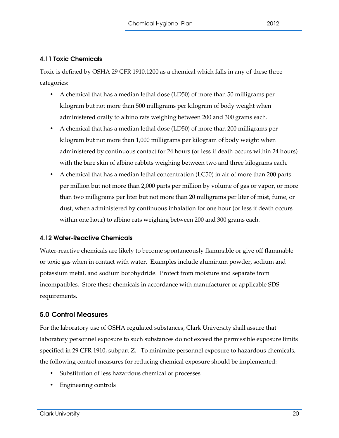# 4.11 Toxic Chemicals

Toxic is defined by OSHA 29 CFR 1910.1200 as a chemical which falls in any of these three categories:

- A chemical that has a median lethal dose (LD50) of more than 50 milligrams per kilogram but not more than 500 milligrams per kilogram of body weight when administered orally to albino rats weighing between 200 and 300 grams each.
- A chemical that has a median lethal dose (LD50) of more than 200 milligrams per kilogram but not more than 1,000 milligrams per kilogram of body weight when administered by continuous contact for 24 hours (or less if death occurs within 24 hours) with the bare skin of albino rabbits weighing between two and three kilograms each.
- A chemical that has a median lethal concentration (LC50) in air of more than 200 parts per million but not more than 2,000 parts per million by volume of gas or vapor, or more than two milligrams per liter but not more than 20 milligrams per liter of mist, fume, or dust, when administered by continuous inhalation for one hour (or less if death occurs within one hour) to albino rats weighing between 200 and 300 grams each.

# 4.12 Water-Reactive Chemicals

Water-reactive chemicals are likely to become spontaneously flammable or give off flammable or toxic gas when in contact with water. Examples include aluminum powder, sodium and potassium metal, and sodium borohydride. Protect from moisture and separate from incompatibles. Store these chemicals in accordance with manufacturer or applicable SDS requirements.

# 5.0 Control Measures

For the laboratory use of OSHA regulated substances, Clark University shall assure that laboratory personnel exposure to such substances do not exceed the permissible exposure limits specified in 29 CFR 1910, subpart Z. To minimize personnel exposure to hazardous chemicals, the following control measures for reducing chemical exposure should be implemented:

- Substitution of less hazardous chemical or processes
- Engineering controls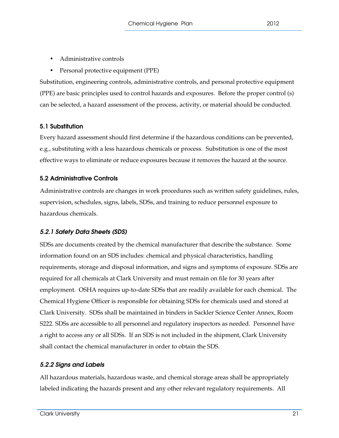- Administrative controls
- Personal protective equipment (PPE)

Substitution, engineering controls, administrative controls, and personal protective equipment (PPE) are basic principles used to control hazards and exposures. Before the proper control (s) can be selected, a hazard assessment of the process, activity, or material should be conducted.

# 5.1 Substitution

Every hazard assessment should first determine if the hazardous conditions can be prevented, e.g., substituting with a less hazardous chemicals or process. Substitution is one of the most effective ways to eliminate or reduce exposures because it removes the hazard at the source.

# 5.2 Administrative Controls

Administrative controls are changes in work procedures such as written safety guidelines, rules, supervision, schedules, signs, labels, SDSs, and training to reduce personnel exposure to hazardous chemicals.

# 5.2.1 Safety Data Sheets (SDS)

SDSs are documents created by the chemical manufacturer that describe the substance. Some information found on an SDS includes: chemical and physical characteristics, handling requirements, storage and disposal information, and signs and symptoms of exposure. SDSs are required for all chemicals at Clark University and must remain on file for 30 years after employment. OSHA requires up-to-date SDSs that are readily available for each chemical. The Chemical Hygiene Officer is responsible for obtaining SDSs for chemicals used and stored at Clark University. SDSs shall be maintained in binders in Sackler Science Center Annex, Room S222. SDSs are accessible to all personnel and regulatory inspectors as needed. Personnel have a right to access any or all SDSs. If an SDS is not included in the shipment, Clark University shall contact the chemical manufacturer in order to obtain the SDS.

# 5.2.2 Signs and Labels

All hazardous materials, hazardous waste, and chemical storage areas shall be appropriately labeled indicating the hazards present and any other relevant regulatory requirements. All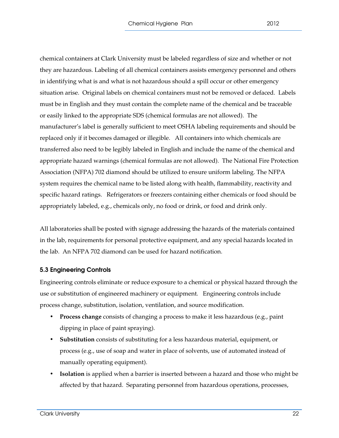chemical containers at Clark University must be labeled regardless of size and whether or not they are hazardous. Labeling of all chemical containers assists emergency personnel and others in identifying what is and what is not hazardous should a spill occur or other emergency situation arise. Original labels on chemical containers must not be removed or defaced. Labels must be in English and they must contain the complete name of the chemical and be traceable or easily linked to the appropriate SDS (chemical formulas are not allowed). The manufacturer's label is generally sufficient to meet OSHA labeling requirements and should be replaced only if it becomes damaged or illegible. All containers into which chemicals are transferred also need to be legibly labeled in English and include the name of the chemical and appropriate hazard warnings (chemical formulas are not allowed). The National Fire Protection Association (NFPA) 702 diamond should be utilized to ensure uniform labeling. The NFPA system requires the chemical name to be listed along with health, flammability, reactivity and specific hazard ratings. Refrigerators or freezers containing either chemicals or food should be appropriately labeled, e.g., chemicals only, no food or drink, or food and drink only.

All laboratories shall be posted with signage addressing the hazards of the materials contained in the lab, requirements for personal protective equipment, and any special hazards located in the lab. An NFPA 702 diamond can be used for hazard notification.

#### 5.3 Engineering Controls

Engineering controls eliminate or reduce exposure to a chemical or physical hazard through the use or substitution of engineered machinery or equipment. Engineering controls include process change, substitution, isolation, ventilation, and source modification.

- **Process change** consists of changing a process to make it less hazardous (e.g., paint dipping in place of paint spraying).
- **Substitution** consists of substituting for a less hazardous material, equipment, or process (e.g., use of soap and water in place of solvents, use of automated instead of manually operating equipment).
- **Isolation** is applied when a barrier is inserted between a hazard and those who might be affected by that hazard. Separating personnel from hazardous operations, processes,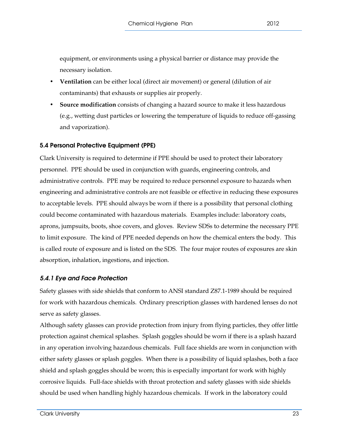equipment, or environments using a physical barrier or distance may provide the necessary isolation.

- **Ventilation** can be either local (direct air movement) or general (dilution of air contaminants) that exhausts or supplies air properly.
- **Source modification** consists of changing a hazard source to make it less hazardous (e.g., wetting dust particles or lowering the temperature of liquids to reduce off-gassing and vaporization).

# 5.4 Personal Protective Equipment (PPE)

Clark University is required to determine if PPE should be used to protect their laboratory personnel. PPE should be used in conjunction with guards, engineering controls, and administrative controls. PPE may be required to reduce personnel exposure to hazards when engineering and administrative controls are not feasible or effective in reducing these exposures to acceptable levels. PPE should always be worn if there is a possibility that personal clothing could become contaminated with hazardous materials. Examples include: laboratory coats, aprons, jumpsuits, boots, shoe covers, and gloves. Review SDSs to determine the necessary PPE to limit exposure. The kind of PPE needed depends on how the chemical enters the body. This is called route of exposure and is listed on the SDS. The four major routes of exposures are skin absorption, inhalation, ingestions, and injection.

# 5.4.1 Eye and Face Protection

Safety glasses with side shields that conform to ANSI standard Z87.1-1989 should be required for work with hazardous chemicals. Ordinary prescription glasses with hardened lenses do not serve as safety glasses.

Although safety glasses can provide protection from injury from flying particles, they offer little protection against chemical splashes. Splash goggles should be worn if there is a splash hazard in any operation involving hazardous chemicals. Full face shields are worn in conjunction with either safety glasses or splash goggles. When there is a possibility of liquid splashes, both a face shield and splash goggles should be worn; this is especially important for work with highly corrosive liquids. Full-face shields with throat protection and safety glasses with side shields should be used when handling highly hazardous chemicals. If work in the laboratory could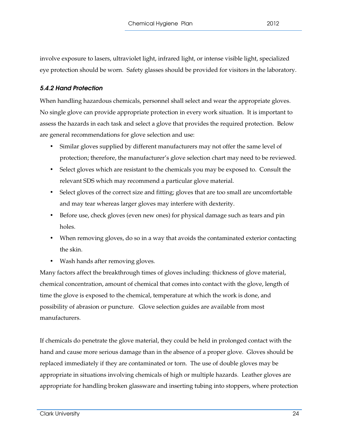involve exposure to lasers, ultraviolet light, infrared light, or intense visible light, specialized eye protection should be worn. Safety glasses should be provided for visitors in the laboratory.

# 5.4.2 Hand Protection

When handling hazardous chemicals, personnel shall select and wear the appropriate gloves. No single glove can provide appropriate protection in every work situation. It is important to assess the hazards in each task and select a glove that provides the required protection. Below are general recommendations for glove selection and use:

- Similar gloves supplied by different manufacturers may not offer the same level of protection; therefore, the manufacturer's glove selection chart may need to be reviewed.
- Select gloves which are resistant to the chemicals you may be exposed to. Consult the relevant SDS which may recommend a particular glove material.
- Select gloves of the correct size and fitting; gloves that are too small are uncomfortable and may tear whereas larger gloves may interfere with dexterity.
- Before use, check gloves (even new ones) for physical damage such as tears and pin holes.
- When removing gloves, do so in a way that avoids the contaminated exterior contacting the skin.
- Wash hands after removing gloves.

Many factors affect the breakthrough times of gloves including: thickness of glove material, chemical concentration, amount of chemical that comes into contact with the glove, length of time the glove is exposed to the chemical, temperature at which the work is done, and possibility of abrasion or puncture. Glove selection guides are available from most manufacturers.

If chemicals do penetrate the glove material, they could be held in prolonged contact with the hand and cause more serious damage than in the absence of a proper glove. Gloves should be replaced immediately if they are contaminated or torn. The use of double gloves may be appropriate in situations involving chemicals of high or multiple hazards. Leather gloves are appropriate for handling broken glassware and inserting tubing into stoppers, where protection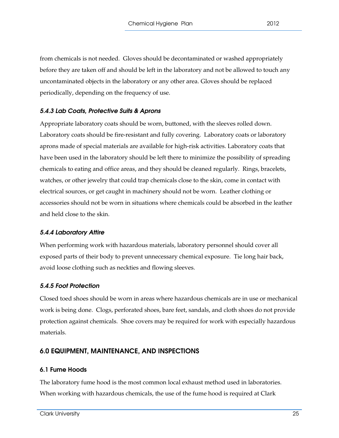from chemicals is not needed. Gloves should be decontaminated or washed appropriately before they are taken off and should be left in the laboratory and not be allowed to touch any uncontaminated objects in the laboratory or any other area. Gloves should be replaced periodically, depending on the frequency of use.

# 5.4.3 Lab Coats, Protective Suits & Aprons

Appropriate laboratory coats should be worn, buttoned, with the sleeves rolled down. Laboratory coats should be fire-resistant and fully covering. Laboratory coats or laboratory aprons made of special materials are available for high-risk activities. Laboratory coats that have been used in the laboratory should be left there to minimize the possibility of spreading chemicals to eating and office areas, and they should be cleaned regularly. Rings, bracelets, watches, or other jewelry that could trap chemicals close to the skin, come in contact with electrical sources, or get caught in machinery should not be worn. Leather clothing or accessories should not be worn in situations where chemicals could be absorbed in the leather and held close to the skin.

# 5.4.4 Laboratory Attire

When performing work with hazardous materials, laboratory personnel should cover all exposed parts of their body to prevent unnecessary chemical exposure. Tie long hair back, avoid loose clothing such as neckties and flowing sleeves.

# 5.4.5 Foot Protection

Closed toed shoes should be worn in areas where hazardous chemicals are in use or mechanical work is being done. Clogs, perforated shoes, bare feet, sandals, and cloth shoes do not provide protection against chemicals. Shoe covers may be required for work with especially hazardous materials.

# 6.0 EQUIPMENT, MAINTENANCE, AND INSPECTIONS

# 6.1 Fume Hoods

The laboratory fume hood is the most common local exhaust method used in laboratories. When working with hazardous chemicals, the use of the fume hood is required at Clark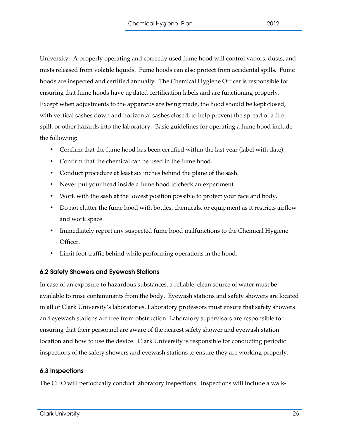University. A properly operating and correctly used fume hood will control vapors, dusts, and mists released from volatile liquids. Fume hoods can also protect from accidental spills. Fume hoods are inspected and certified annually. The Chemical Hygiene Officer is responsible for ensuring that fume hoods have updated certification labels and are functioning properly. Except when adjustments to the apparatus are being made, the hood should be kept closed, with vertical sashes down and horizontal sashes closed, to help prevent the spread of a fire, spill, or other hazards into the laboratory. Basic guidelines for operating a fume hood include the following:

- Confirm that the fume hood has been certified within the last year (label with date).
- Confirm that the chemical can be used in the fume hood.
- Conduct procedure at least six inches behind the plane of the sash.
- Never put your head inside a fume hood to check an experiment.
- Work with the sash at the lowest position possible to protect your face and body.
- Do not clutter the fume hood with bottles, chemicals, or equipment as it restricts airflow and work space.
- Immediately report any suspected fume hood malfunctions to the Chemical Hygiene Officer.
- Limit foot traffic behind while performing operations in the hood.

# 6.2 Safety Showers and Eyewash Stations

In case of an exposure to hazardous substances, a reliable, clean source of water must be available to rinse contaminants from the body. Eyewash stations and safety showers are located in all of Clark University's laboratories. Laboratory professors must ensure that safety showers and eyewash stations are free from obstruction. Laboratory supervisors are responsible for ensuring that their personnel are aware of the nearest safety shower and eyewash station location and how to use the device. Clark University is responsible for conducting periodic inspections of the safety showers and eyewash stations to ensure they are working properly.

# 6.3 Inspections

The CHO will periodically conduct laboratory inspections. Inspections will include a walk-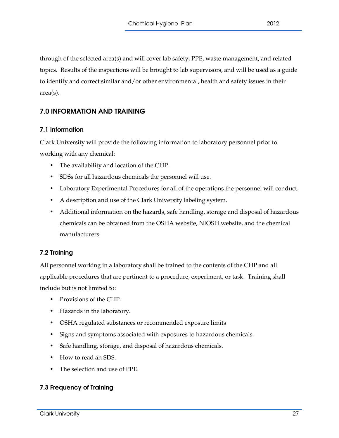through of the selected area(s) and will cover lab safety, PPE, waste management, and related topics. Results of the inspections will be brought to lab supervisors, and will be used as a guide to identify and correct similar and/or other environmental, health and safety issues in their area(s).

# 7.0 INFORMATION AND TRAINING

# 7.1 Information

Clark University will provide the following information to laboratory personnel prior to working with any chemical:

- The availability and location of the CHP.
- SDSs for all hazardous chemicals the personnel will use.
- Laboratory Experimental Procedures for all of the operations the personnel will conduct.
- A description and use of the Clark University labeling system.
- Additional information on the hazards, safe handling, storage and disposal of hazardous chemicals can be obtained from the OSHA website, NIOSH website, and the chemical manufacturers.

# 7.2 Training

All personnel working in a laboratory shall be trained to the contents of the CHP and all applicable procedures that are pertinent to a procedure, experiment, or task. Training shall include but is not limited to:

- Provisions of the CHP.
- Hazards in the laboratory.
- OSHA regulated substances or recommended exposure limits
- Signs and symptoms associated with exposures to hazardous chemicals.
- Safe handling, storage, and disposal of hazardous chemicals.
- How to read an SDS.
- The selection and use of PPE.

# 7.3 Frequency of Training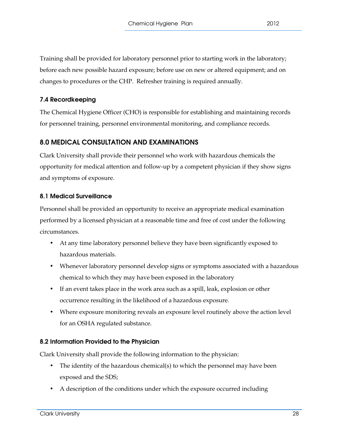Training shall be provided for laboratory personnel prior to starting work in the laboratory; before each new possible hazard exposure; before use on new or altered equipment; and on changes to procedures or the CHP. Refresher training is required annually.

# 7.4 Recordkeeping

The Chemical Hygiene Officer (CHO) is responsible for establishing and maintaining records for personnel training, personnel environmental monitoring, and compliance records.

# 8.0 MEDICAL CONSULTATION AND EXAMINATIONS

Clark University shall provide their personnel who work with hazardous chemicals the opportunity for medical attention and follow-up by a competent physician if they show signs and symptoms of exposure.

# 8.1 Medical Surveillance

Personnel shall be provided an opportunity to receive an appropriate medical examination performed by a licensed physician at a reasonable time and free of cost under the following circumstances.

- At any time laboratory personnel believe they have been significantly exposed to hazardous materials.
- Whenever laboratory personnel develop signs or symptoms associated with a hazardous chemical to which they may have been exposed in the laboratory
- If an event takes place in the work area such as a spill, leak, explosion or other occurrence resulting in the likelihood of a hazardous exposure.
- Where exposure monitoring reveals an exposure level routinely above the action level for an OSHA regulated substance.

# 8.2 Information Provided to the Physician

Clark University shall provide the following information to the physician:

- The identity of the hazardous chemical(s) to which the personnel may have been exposed and the SDS;
- A description of the conditions under which the exposure occurred including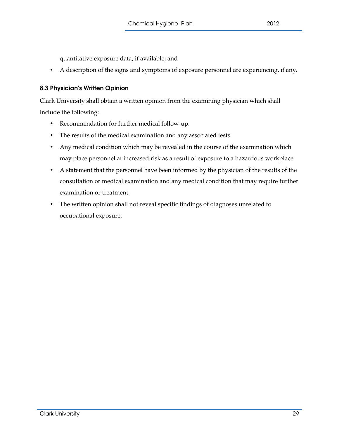quantitative exposure data, if available; and

• A description of the signs and symptoms of exposure personnel are experiencing, if any.

# 8.3 Physician's Written Opinion

Clark University shall obtain a written opinion from the examining physician which shall include the following:

- Recommendation for further medical follow-up.
- The results of the medical examination and any associated tests.
- Any medical condition which may be revealed in the course of the examination which may place personnel at increased risk as a result of exposure to a hazardous workplace.
- A statement that the personnel have been informed by the physician of the results of the consultation or medical examination and any medical condition that may require further examination or treatment.
- The written opinion shall not reveal specific findings of diagnoses unrelated to occupational exposure.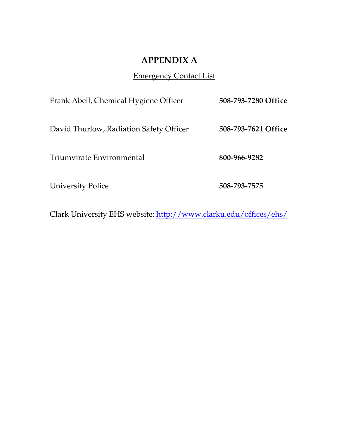# **APPENDIX A**

# Emergency Contact List

| Frank Abell, Chemical Hygiene Officer   | 508-793-7280 Office |
|-----------------------------------------|---------------------|
| David Thurlow, Radiation Safety Officer | 508-793-7621 Office |
| Triumvirate Environmental               | 800-966-9282        |
| <b>University Police</b>                | 508-793-7575        |

Clark University EHS website: http://www.clarku.edu/offices/ehs/